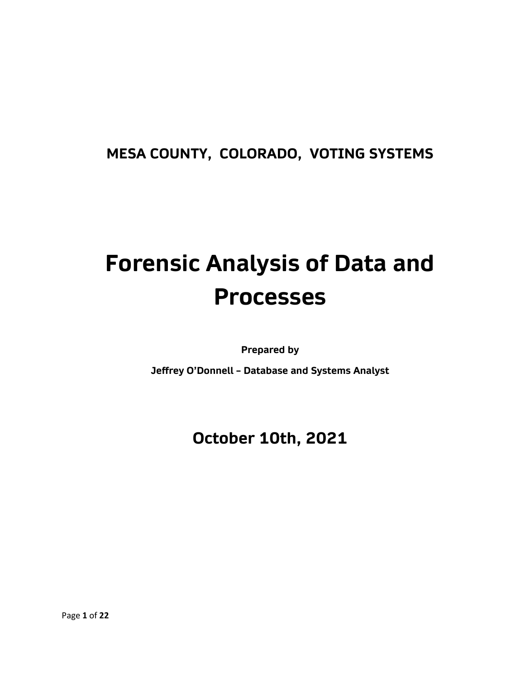# **MESA COUNTY, COLORADO, VOTING SYSTEMS**

# **Forensic Analysis of Data and Processes**

**Prepared by**

**Jeffrey O'Donnell – Database and Systems Analyst**

# **October 10th, 2021**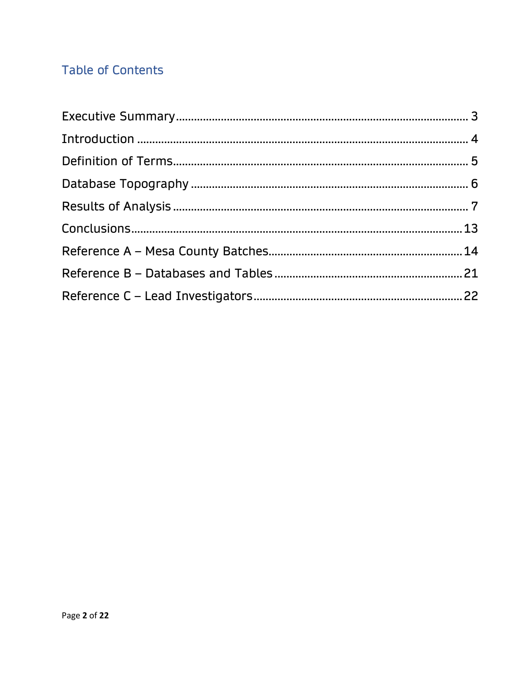## **Table of Contents**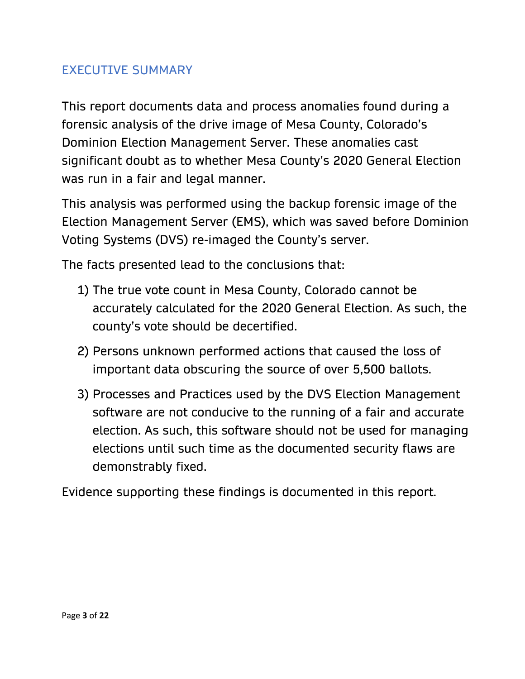#### EXECUTIVE SUMMARY

This report documents data and process anomalies found during a forensic analysis of the drive image of Mesa County, Colorado's Dominion Election Management Server. These anomalies cast significant doubt as to whether Mesa County's 2020 General Election was run in a fair and legal manner.

This analysis was performed using the backup forensic image of the Election Management Server (EMS), which was saved before Dominion Voting Systems (DVS) re-imaged the County's server.

The facts presented lead to the conclusions that:

- 1) The true vote count in Mesa County, Colorado cannot be accurately calculated for the 2020 General Election. As such, the county's vote should be decertified.
- 2) Persons unknown performed actions that caused the loss of important data obscuring the source of over 5,500 ballots.
- 3) Processes and Practices used by the DVS Election Management software are not conducive to the running of a fair and accurate election. As such, this software should not be used for managing elections until such time as the documented security flaws are demonstrably fixed.

Evidence supporting these findings is documented in this report.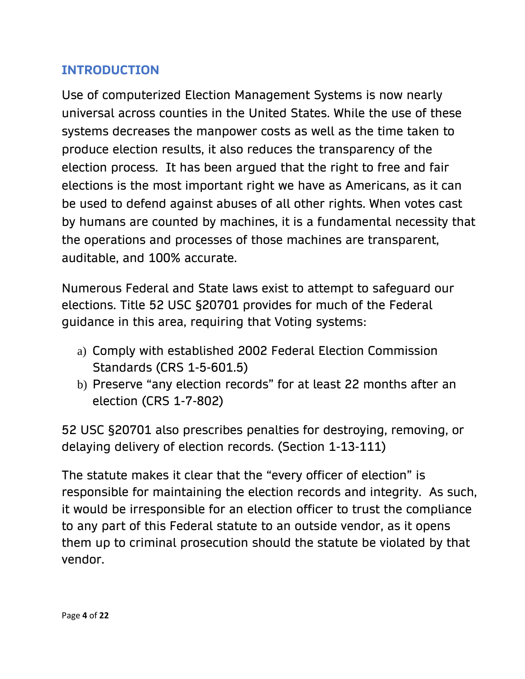#### **INTRODUCTION**

Use of computerized Election Management Systems is now nearly universal across counties in the United States. While the use of these systems decreases the manpower costs as well as the time taken to produce election results, it also reduces the transparency of the election process. It has been argued that the right to free and fair elections is the most important right we have as Americans, as it can be used to defend against abuses of all other rights. When votes cast by humans are counted by machines, it is a fundamental necessity that the operations and processes of those machines are transparent, auditable, and 100% accurate.

Numerous Federal and State laws exist to attempt to safeguard our elections. Title 52 USC §20701 provides for much of the Federal guidance in this area, requiring that Voting systems:

- a) Comply with established 2002 Federal Election Commission Standards (CRS 1-5-601.5)
- b) Preserve "any election records" for at least 22 months after an election (CRS 1-7-802)

52 USC §20701 also prescribes penalties for destroying, removing, or delaying delivery of election records. (Section 1-13-111)

The statute makes it clear that the "every officer of election" is responsible for maintaining the election records and integrity. As such, it would be irresponsible for an election officer to trust the compliance to any part of this Federal statute to an outside vendor, as it opens them up to criminal prosecution should the statute be violated by that vendor.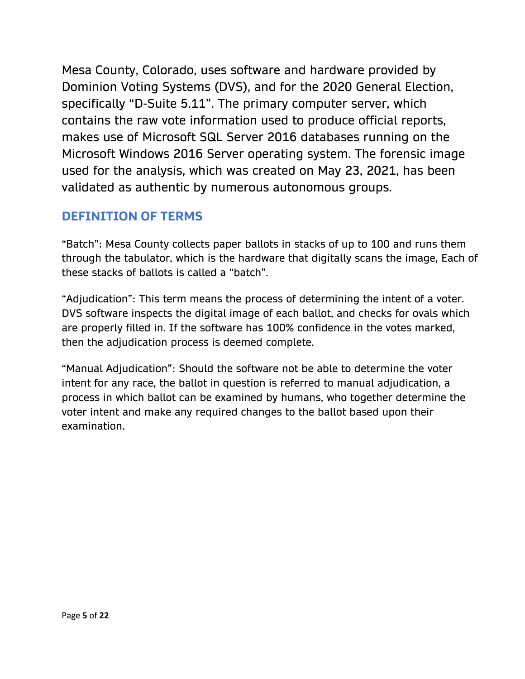Mesa County, Colorado, uses software and hardware provided by Dominion Voting Systems (DVS), and for the 2020 General Election, specifically "D-Suite 5.11". The primary computer server, which contains the raw vote information used to produce official reports, makes use of Microsoft SQL Server 2016 databases running on the Microsoft Windows 2016 Server operating system. The forensic image used for the analysis, which was created on May 23, 2021, has been validated as authentic by numerous autonomous groups.

## **DEFINITION OF TERMS**

"Batch": Mesa County collects paper ballots in stacks of up to 100 and runs them through the tabulator, which is the hardware that digitally scans the image, Each of these stacks of ballots is called a "batch".

"Adjudication": This term means the process of determining the intent of a voter. DVS software inspects the digital image of each ballot, and checks for ovals which are properly filled in. If the software has 100% confidence in the votes marked, then the adjudication process is deemed complete.

"Manual Adjudication": Should the software not be able to determine the voter intent for any race, the ballot in question is referred to manual adjudication, a process in which ballot can be examined by humans, who together determine the voter intent and make any required changes to the ballot based upon their examination.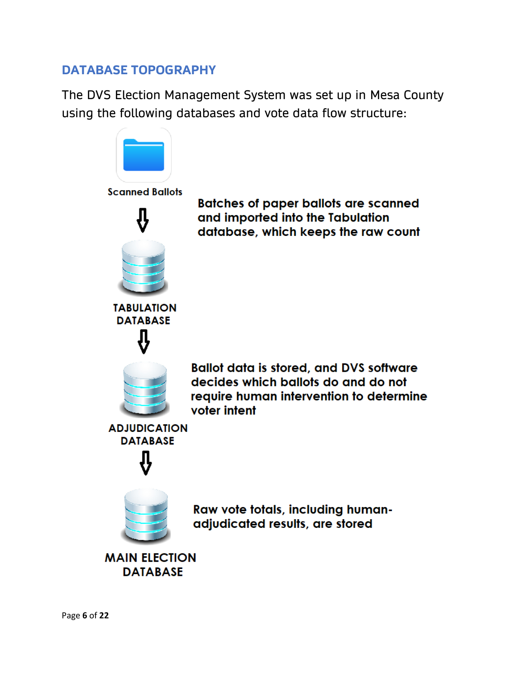#### **DATABASE TOPOGRAPHY**

The DVS Election Management System was set up in Mesa County using the following databases and vote data flow structure:

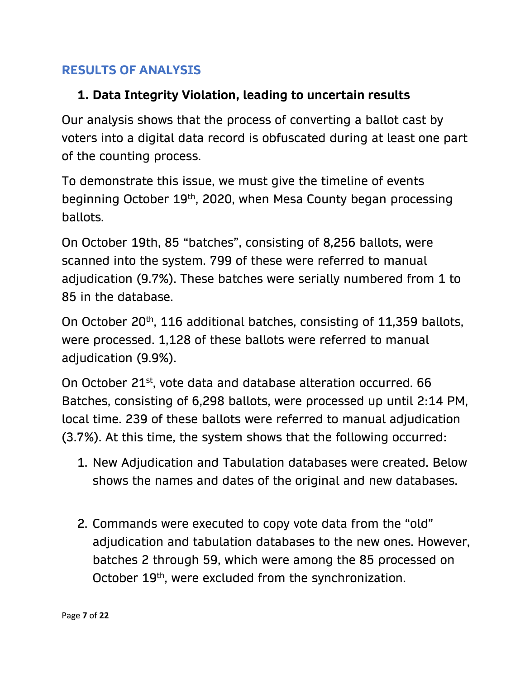#### **RESULTS OF ANALYSIS**

#### **1. Data Integrity Violation, leading to uncertain results**

Our analysis shows that the process of converting a ballot cast by voters into a digital data record is obfuscated during at least one part of the counting process.

To demonstrate this issue, we must give the timeline of events beginning October 19th, 2020, when Mesa County began processing ballots.

On October 19th, 85 "batches", consisting of 8,256 ballots, were scanned into the system. 799 of these were referred to manual adjudication (9.7%). These batches were serially numbered from 1 to 85 in the database.

On October 20<sup>th</sup>, 116 additional batches, consisting of 11,359 ballots, were processed. 1,128 of these ballots were referred to manual adjudication (9.9%).

On October 21st, vote data and database alteration occurred. 66 Batches, consisting of 6,298 ballots, were processed up until 2:14 PM, local time. 239 of these ballots were referred to manual adjudication (3.7%). At this time, the system shows that the following occurred:

- 1. New Adjudication and Tabulation databases were created. Below shows the names and dates of the original and new databases.
- 2. Commands were executed to copy vote data from the "old" adjudication and tabulation databases to the new ones. However, batches 2 through 59, which were among the 85 processed on October 19<sup>th</sup>, were excluded from the synchronization.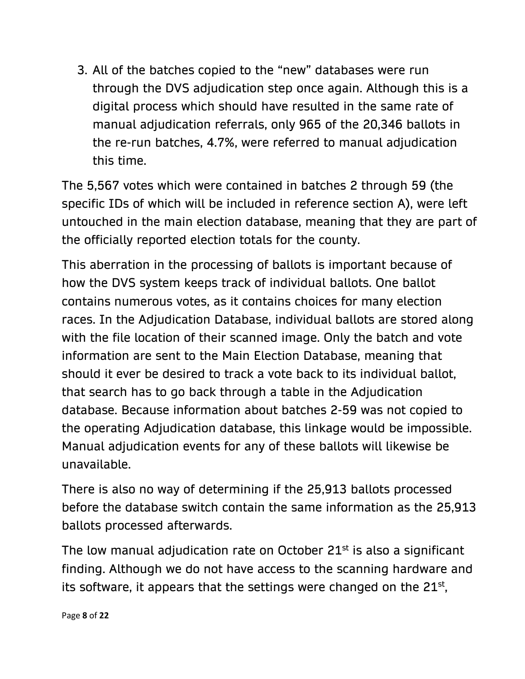3. All of the batches copied to the "new" databases were run through the DVS adjudication step once again. Although this is a digital process which should have resulted in the same rate of manual adjudication referrals, only 965 of the 20,346 ballots in the re-run batches, 4.7%, were referred to manual adjudication this time.

The 5,567 votes which were contained in batches 2 through 59 (the specific IDs of which will be included in reference section A), were left untouched in the main election database, meaning that they are part of the officially reported election totals for the county.

This aberration in the processing of ballots is important because of how the DVS system keeps track of individual ballots. One ballot contains numerous votes, as it contains choices for many election races. In the Adjudication Database, individual ballots are stored along with the file location of their scanned image. Only the batch and vote information are sent to the Main Election Database, meaning that should it ever be desired to track a vote back to its individual ballot, that search has to go back through a table in the Adjudication database. Because information about batches 2-59 was not copied to the operating Adjudication database, this linkage would be impossible. Manual adjudication events for any of these ballots will likewise be unavailable.

There is also no way of determining if the 25,913 ballots processed before the database switch contain the same information as the 25,913 ballots processed afterwards.

The low manual adjudication rate on October 21<sup>st</sup> is also a significant finding. Although we do not have access to the scanning hardware and its software, it appears that the settings were changed on the  $21^{st}$ ,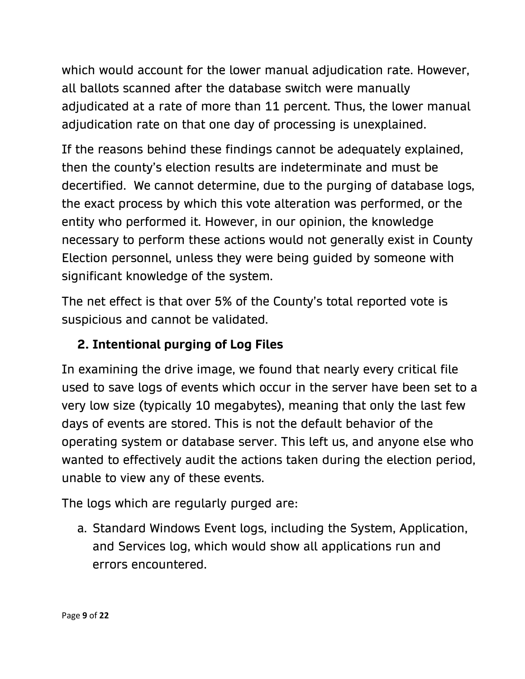which would account for the lower manual adjudication rate. However, all ballots scanned after the database switch were manually adjudicated at a rate of more than 11 percent. Thus, the lower manual adjudication rate on that one day of processing is unexplained.

If the reasons behind these findings cannot be adequately explained, then the county's election results are indeterminate and must be decertified. We cannot determine, due to the purging of database logs, the exact process by which this vote alteration was performed, or the entity who performed it. However, in our opinion, the knowledge necessary to perform these actions would not generally exist in County Election personnel, unless they were being guided by someone with significant knowledge of the system.

The net effect is that over 5% of the County's total reported vote is suspicious and cannot be validated.

## **2. Intentional purging of Log Files**

In examining the drive image, we found that nearly every critical file used to save logs of events which occur in the server have been set to a very low size (typically 10 megabytes), meaning that only the last few days of events are stored. This is not the default behavior of the operating system or database server. This left us, and anyone else who wanted to effectively audit the actions taken during the election period, unable to view any of these events.

The logs which are regularly purged are:

a. Standard Windows Event logs, including the System, Application, and Services log, which would show all applications run and errors encountered.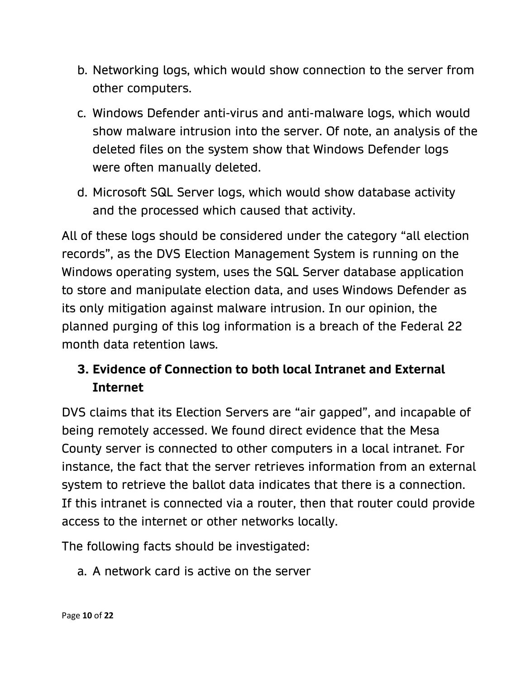- b. Networking logs, which would show connection to the server from other computers.
- c. Windows Defender anti-virus and anti-malware logs, which would show malware intrusion into the server. Of note, an analysis of the deleted files on the system show that Windows Defender logs were often manually deleted.
- d. Microsoft SQL Server logs, which would show database activity and the processed which caused that activity.

All of these logs should be considered under the category "all election records", as the DVS Election Management System is running on the Windows operating system, uses the SQL Server database application to store and manipulate election data, and uses Windows Defender as its only mitigation against malware intrusion. In our opinion, the planned purging of this log information is a breach of the Federal 22 month data retention laws.

## **3. Evidence of Connection to both local Intranet and External Internet**

DVS claims that its Election Servers are "air gapped", and incapable of being remotely accessed. We found direct evidence that the Mesa County server is connected to other computers in a local intranet. For instance, the fact that the server retrieves information from an external system to retrieve the ballot data indicates that there is a connection. If this intranet is connected via a router, then that router could provide access to the internet or other networks locally.

The following facts should be investigated:

a. A network card is active on the server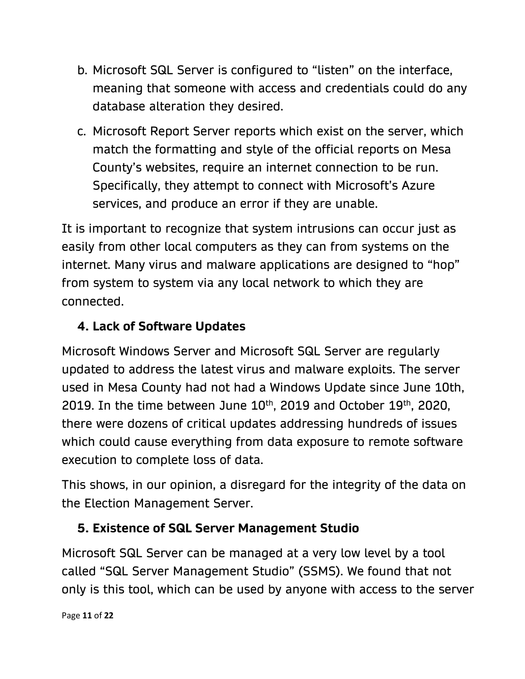- b. Microsoft SQL Server is configured to "listen" on the interface, meaning that someone with access and credentials could do any database alteration they desired.
- c. Microsoft Report Server reports which exist on the server, which match the formatting and style of the official reports on Mesa County's websites, require an internet connection to be run. Specifically, they attempt to connect with Microsoft's Azure services, and produce an error if they are unable.

It is important to recognize that system intrusions can occur just as easily from other local computers as they can from systems on the internet. Many virus and malware applications are designed to "hop" from system to system via any local network to which they are connected.

## **4. Lack of Software Updates**

Microsoft Windows Server and Microsoft SQL Server are regularly updated to address the latest virus and malware exploits. The server used in Mesa County had not had a Windows Update since June 10th, 2019. In the time between June  $10^{th}$ , 2019 and October 19<sup>th</sup>, 2020, there were dozens of critical updates addressing hundreds of issues which could cause everything from data exposure to remote software execution to complete loss of data.

This shows, in our opinion, a disregard for the integrity of the data on the Election Management Server.

## **5. Existence of SQL Server Management Studio**

Microsoft SQL Server can be managed at a very low level by a tool called "SQL Server Management Studio" (SSMS). We found that not only is this tool, which can be used by anyone with access to the server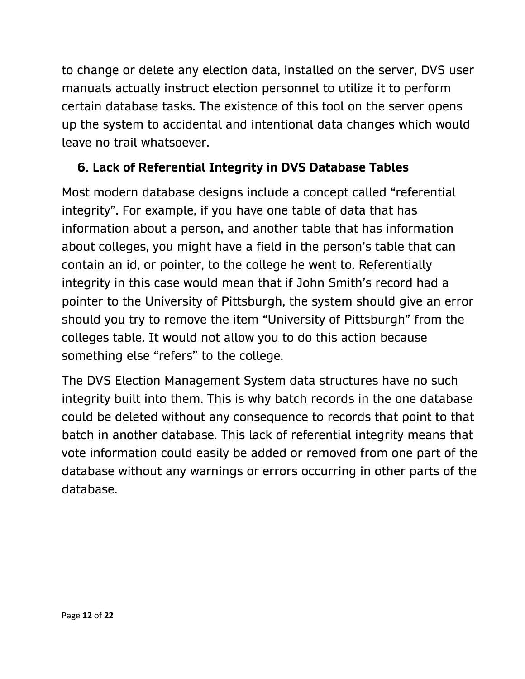to change or delete any election data, installed on the server, DVS user manuals actually instruct election personnel to utilize it to perform certain database tasks. The existence of this tool on the server opens up the system to accidental and intentional data changes which would leave no trail whatsoever.

## **6. Lack of Referential Integrity in DVS Database Tables**

Most modern database designs include a concept called "referential integrity". For example, if you have one table of data that has information about a person, and another table that has information about colleges, you might have a field in the person's table that can contain an id, or pointer, to the college he went to. Referentially integrity in this case would mean that if John Smith's record had a pointer to the University of Pittsburgh, the system should give an error should you try to remove the item "University of Pittsburgh" from the colleges table. It would not allow you to do this action because something else "refers" to the college.

The DVS Election Management System data structures have no such integrity built into them. This is why batch records in the one database could be deleted without any consequence to records that point to that batch in another database. This lack of referential integrity means that vote information could easily be added or removed from one part of the database without any warnings or errors occurring in other parts of the database.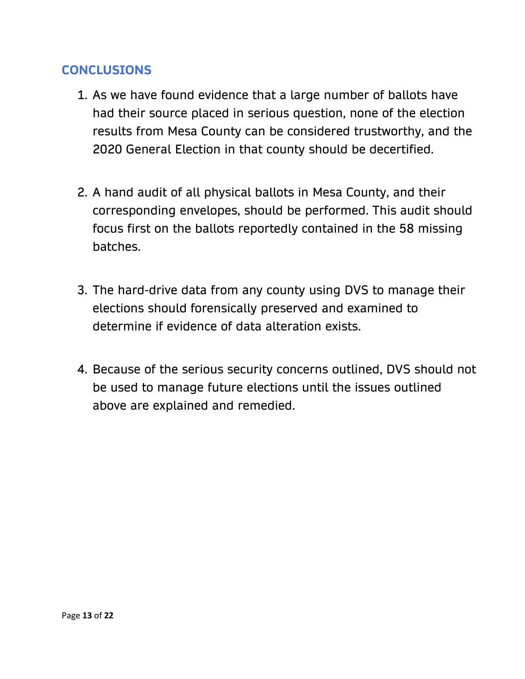#### **CONCLUSIONS**

- 1. As we have found evidence that a large number of ballots have had their source placed in serious question, none of the election results from Mesa County can be considered trustworthy, and the 2020 General Election in that county should be decertified.
- 2. A hand audit of all physical ballots in Mesa County, and their corresponding envelopes, should be performed. This audit should focus first on the ballots reportedly contained in the 58 missing batches.
- 3. The hard-drive data from any county using DVS to manage their elections should forensically preserved and examined to determine if evidence of data alteration exists.
- 4. Because of the serious security concerns outlined, DVS should not be used to manage future elections until the issues outlined above are explained and remedied.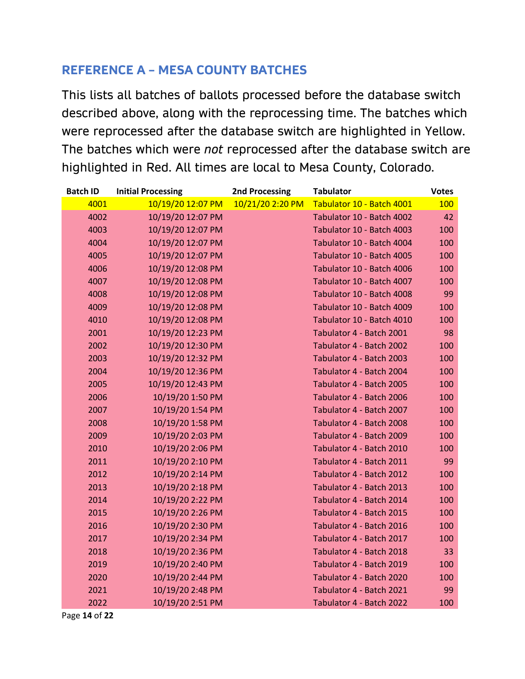#### **REFERENCE A – MESA COUNTY BATCHES**

This lists all batches of ballots processed before the database switch described above, along with the reprocessing time. The batches which were reprocessed after the database switch are highlighted in Yellow. The batches which were *not* reprocessed after the database switch are highlighted in Red. All times are local to Mesa County, Colorado.

| <b>Batch ID</b> | <b>Initial Processing</b> | <b>2nd Processing</b> | <b>Tabulator</b>          | <b>Votes</b> |
|-----------------|---------------------------|-----------------------|---------------------------|--------------|
| 4001            | 10/19/20 12:07 PM         | 10/21/20 2:20 PM      | Tabulator 10 - Batch 4001 | 100          |
| 4002            | 10/19/20 12:07 PM         |                       | Tabulator 10 - Batch 4002 | 42           |
| 4003            | 10/19/20 12:07 PM         |                       | Tabulator 10 - Batch 4003 | 100          |
| 4004            | 10/19/20 12:07 PM         |                       | Tabulator 10 - Batch 4004 | 100          |
| 4005            | 10/19/20 12:07 PM         |                       | Tabulator 10 - Batch 4005 | 100          |
| 4006            | 10/19/20 12:08 PM         |                       | Tabulator 10 - Batch 4006 | 100          |
| 4007            | 10/19/20 12:08 PM         |                       | Tabulator 10 - Batch 4007 | 100          |
| 4008            | 10/19/20 12:08 PM         |                       | Tabulator 10 - Batch 4008 | 99           |
| 4009            | 10/19/20 12:08 PM         |                       | Tabulator 10 - Batch 4009 | 100          |
| 4010            | 10/19/20 12:08 PM         |                       | Tabulator 10 - Batch 4010 | 100          |
| 2001            | 10/19/20 12:23 PM         |                       | Tabulator 4 - Batch 2001  | 98           |
| 2002            | 10/19/20 12:30 PM         |                       | Tabulator 4 - Batch 2002  | 100          |
| 2003            | 10/19/20 12:32 PM         |                       | Tabulator 4 - Batch 2003  | 100          |
| 2004            | 10/19/20 12:36 PM         |                       | Tabulator 4 - Batch 2004  | 100          |
| 2005            | 10/19/20 12:43 PM         |                       | Tabulator 4 - Batch 2005  | 100          |
| 2006            | 10/19/20 1:50 PM          |                       | Tabulator 4 - Batch 2006  | 100          |
| 2007            | 10/19/20 1:54 PM          |                       | Tabulator 4 - Batch 2007  | 100          |
| 2008            | 10/19/20 1:58 PM          |                       | Tabulator 4 - Batch 2008  | 100          |
| 2009            | 10/19/20 2:03 PM          |                       | Tabulator 4 - Batch 2009  | 100          |
| 2010            | 10/19/20 2:06 PM          |                       | Tabulator 4 - Batch 2010  | 100          |
| 2011            | 10/19/20 2:10 PM          |                       | Tabulator 4 - Batch 2011  | 99           |
| 2012            | 10/19/20 2:14 PM          |                       | Tabulator 4 - Batch 2012  | 100          |
| 2013            | 10/19/20 2:18 PM          |                       | Tabulator 4 - Batch 2013  | 100          |
| 2014            | 10/19/20 2:22 PM          |                       | Tabulator 4 - Batch 2014  | 100          |
| 2015            | 10/19/20 2:26 PM          |                       | Tabulator 4 - Batch 2015  | 100          |
| 2016            | 10/19/20 2:30 PM          |                       | Tabulator 4 - Batch 2016  | 100          |
| 2017            | 10/19/20 2:34 PM          |                       | Tabulator 4 - Batch 2017  | 100          |
| 2018            | 10/19/20 2:36 PM          |                       | Tabulator 4 - Batch 2018  | 33           |
| 2019            | 10/19/20 2:40 PM          |                       | Tabulator 4 - Batch 2019  | 100          |
| 2020            | 10/19/20 2:44 PM          |                       | Tabulator 4 - Batch 2020  | 100          |
| 2021            | 10/19/20 2:48 PM          |                       | Tabulator 4 - Batch 2021  | 99           |
| 2022            | 10/19/20 2:51 PM          |                       | Tabulator 4 - Batch 2022  | 100          |

Page **14** of **22**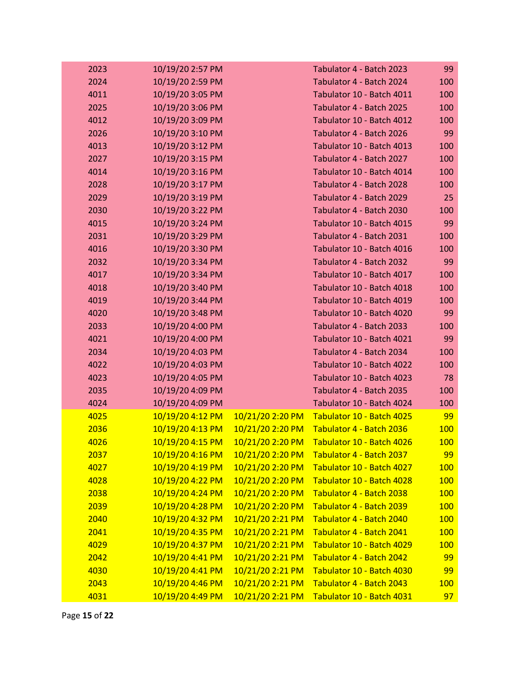| 2023 | 10/19/20 2:57 PM |                  | Tabulator 4 - Batch 2023  | 99         |
|------|------------------|------------------|---------------------------|------------|
| 2024 | 10/19/20 2:59 PM |                  | Tabulator 4 - Batch 2024  | 100        |
| 4011 | 10/19/20 3:05 PM |                  | Tabulator 10 - Batch 4011 | 100        |
| 2025 | 10/19/20 3:06 PM |                  | Tabulator 4 - Batch 2025  | 100        |
| 4012 | 10/19/20 3:09 PM |                  | Tabulator 10 - Batch 4012 | 100        |
| 2026 | 10/19/20 3:10 PM |                  | Tabulator 4 - Batch 2026  | 99         |
| 4013 | 10/19/20 3:12 PM |                  | Tabulator 10 - Batch 4013 | 100        |
| 2027 | 10/19/20 3:15 PM |                  | Tabulator 4 - Batch 2027  | 100        |
| 4014 | 10/19/20 3:16 PM |                  | Tabulator 10 - Batch 4014 | 100        |
| 2028 | 10/19/20 3:17 PM |                  | Tabulator 4 - Batch 2028  | 100        |
| 2029 | 10/19/20 3:19 PM |                  | Tabulator 4 - Batch 2029  | 25         |
| 2030 | 10/19/20 3:22 PM |                  | Tabulator 4 - Batch 2030  | 100        |
| 4015 | 10/19/20 3:24 PM |                  | Tabulator 10 - Batch 4015 | 99         |
| 2031 | 10/19/20 3:29 PM |                  | Tabulator 4 - Batch 2031  | 100        |
| 4016 | 10/19/20 3:30 PM |                  | Tabulator 10 - Batch 4016 | 100        |
| 2032 | 10/19/20 3:34 PM |                  | Tabulator 4 - Batch 2032  | 99         |
| 4017 | 10/19/20 3:34 PM |                  | Tabulator 10 - Batch 4017 | 100        |
| 4018 | 10/19/20 3:40 PM |                  | Tabulator 10 - Batch 4018 | 100        |
| 4019 | 10/19/20 3:44 PM |                  | Tabulator 10 - Batch 4019 | 100        |
| 4020 | 10/19/20 3:48 PM |                  | Tabulator 10 - Batch 4020 | 99         |
| 2033 | 10/19/20 4:00 PM |                  | Tabulator 4 - Batch 2033  | 100        |
| 4021 | 10/19/20 4:00 PM |                  | Tabulator 10 - Batch 4021 | 99         |
| 2034 | 10/19/20 4:03 PM |                  | Tabulator 4 - Batch 2034  | 100        |
| 4022 | 10/19/20 4:03 PM |                  | Tabulator 10 - Batch 4022 | 100        |
| 4023 | 10/19/20 4:05 PM |                  | Tabulator 10 - Batch 4023 | 78         |
| 2035 | 10/19/20 4:09 PM |                  | Tabulator 4 - Batch 2035  | 100        |
| 4024 | 10/19/20 4:09 PM |                  | Tabulator 10 - Batch 4024 | 100        |
| 4025 | 10/19/20 4:12 PM | 10/21/20 2:20 PM | Tabulator 10 - Batch 4025 | 99         |
| 2036 | 10/19/20 4:13 PM | 10/21/20 2:20 PM | Tabulator 4 - Batch 2036  | 100        |
| 4026 | 10/19/20 4:15 PM | 10/21/20 2:20 PM | Tabulator 10 - Batch 4026 | 100        |
| 2037 | 10/19/20 4:16 PM | 10/21/20 2:20 PM | Tabulator 4 - Batch 2037  | 99         |
| 4027 | 10/19/20 4:19 PM | 10/21/20 2:20 PM | Tabulator 10 - Batch 4027 | <b>100</b> |
| 4028 | 10/19/20 4:22 PM | 10/21/20 2:20 PM | Tabulator 10 - Batch 4028 | <b>100</b> |
| 2038 | 10/19/20 4:24 PM | 10/21/20 2:20 PM | Tabulator 4 - Batch 2038  | <b>100</b> |
| 2039 | 10/19/20 4:28 PM | 10/21/20 2:20 PM | Tabulator 4 - Batch 2039  | <b>100</b> |
| 2040 | 10/19/20 4:32 PM | 10/21/20 2:21 PM | Tabulator 4 - Batch 2040  | <b>100</b> |
| 2041 | 10/19/20 4:35 PM | 10/21/20 2:21 PM | Tabulator 4 - Batch 2041  | <u>100</u> |
| 4029 | 10/19/20 4:37 PM | 10/21/20 2:21 PM | Tabulator 10 - Batch 4029 | <b>100</b> |
| 2042 | 10/19/20 4:41 PM | 10/21/20 2:21 PM | Tabulator 4 - Batch 2042  | 99         |
| 4030 | 10/19/20 4:41 PM | 10/21/20 2:21 PM | Tabulator 10 - Batch 4030 | 99         |
| 2043 | 10/19/20 4:46 PM | 10/21/20 2:21 PM | Tabulator 4 - Batch 2043  | 100        |
| 4031 | 10/19/20 4:49 PM | 10/21/20 2:21 PM | Tabulator 10 - Batch 4031 | 97         |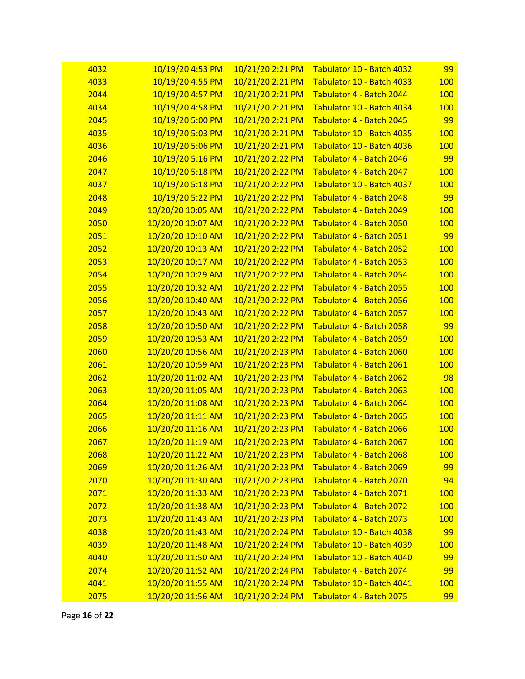| 4032 | 10/19/20 4:53 PM  | 10/21/20 2:21 PM | Tabulator 10 - Batch 4032 | 99         |
|------|-------------------|------------------|---------------------------|------------|
| 4033 | 10/19/20 4:55 PM  | 10/21/20 2:21 PM | Tabulator 10 - Batch 4033 | <b>100</b> |
| 2044 | 10/19/20 4:57 PM  | 10/21/20 2:21 PM | Tabulator 4 - Batch 2044  | <b>100</b> |
| 4034 | 10/19/20 4:58 PM  | 10/21/20 2:21 PM | Tabulator 10 - Batch 4034 | 100        |
| 2045 | 10/19/20 5:00 PM  | 10/21/20 2:21 PM | Tabulator 4 - Batch 2045  | 99         |
| 4035 | 10/19/20 5:03 PM  | 10/21/20 2:21 PM | Tabulator 10 - Batch 4035 | <b>100</b> |
| 4036 | 10/19/20 5:06 PM  | 10/21/20 2:21 PM | Tabulator 10 - Batch 4036 | <b>100</b> |
| 2046 | 10/19/20 5:16 PM  | 10/21/20 2:22 PM | Tabulator 4 - Batch 2046  | 99         |
| 2047 | 10/19/20 5:18 PM  | 10/21/20 2:22 PM | Tabulator 4 - Batch 2047  | <b>100</b> |
| 4037 | 10/19/20 5:18 PM  | 10/21/20 2:22 PM | Tabulator 10 - Batch 4037 | <b>100</b> |
| 2048 | 10/19/20 5:22 PM  | 10/21/20 2:22 PM | Tabulator 4 - Batch 2048  | 99         |
| 2049 | 10/20/20 10:05 AM | 10/21/20 2:22 PM | Tabulator 4 - Batch 2049  | <b>100</b> |
| 2050 | 10/20/20 10:07 AM | 10/21/20 2:22 PM | Tabulator 4 - Batch 2050  | <b>100</b> |
| 2051 | 10/20/20 10:10 AM | 10/21/20 2:22 PM | Tabulator 4 - Batch 2051  | 99         |
| 2052 | 10/20/20 10:13 AM | 10/21/20 2:22 PM | Tabulator 4 - Batch 2052  | <b>100</b> |
| 2053 | 10/20/20 10:17 AM | 10/21/20 2:22 PM | Tabulator 4 - Batch 2053  | <b>100</b> |
| 2054 | 10/20/20 10:29 AM | 10/21/20 2:22 PM | Tabulator 4 - Batch 2054  | <b>100</b> |
| 2055 | 10/20/20 10:32 AM | 10/21/20 2:22 PM | Tabulator 4 - Batch 2055  | <b>100</b> |
| 2056 | 10/20/20 10:40 AM | 10/21/20 2:22 PM | Tabulator 4 - Batch 2056  | <b>100</b> |
| 2057 | 10/20/20 10:43 AM | 10/21/20 2:22 PM | Tabulator 4 - Batch 2057  | <b>100</b> |
| 2058 | 10/20/20 10:50 AM | 10/21/20 2:22 PM | Tabulator 4 - Batch 2058  | 99         |
| 2059 | 10/20/20 10:53 AM | 10/21/20 2:22 PM | Tabulator 4 - Batch 2059  | <b>100</b> |
| 2060 | 10/20/20 10:56 AM | 10/21/20 2:23 PM | Tabulator 4 - Batch 2060  | <b>100</b> |
| 2061 | 10/20/20 10:59 AM | 10/21/20 2:23 PM | Tabulator 4 - Batch 2061  | <b>100</b> |
| 2062 | 10/20/20 11:02 AM | 10/21/20 2:23 PM | Tabulator 4 - Batch 2062  | 98         |
| 2063 | 10/20/20 11:05 AM | 10/21/20 2:23 PM | Tabulator 4 - Batch 2063  | <b>100</b> |
| 2064 | 10/20/20 11:08 AM | 10/21/20 2:23 PM | Tabulator 4 - Batch 2064  | <b>100</b> |
| 2065 | 10/20/20 11:11 AM | 10/21/20 2:23 PM | Tabulator 4 - Batch 2065  | <b>100</b> |
| 2066 | 10/20/20 11:16 AM | 10/21/20 2:23 PM | Tabulator 4 - Batch 2066  | <b>100</b> |
| 2067 | 10/20/20 11:19 AM | 10/21/20 2:23 PM | Tabulator 4 - Batch 2067  | <b>100</b> |
| 2068 | 10/20/20 11:22 AM | 10/21/20 2:23 PM | Tabulator 4 - Batch 2068  | <b>100</b> |
| 2069 | 10/20/20 11:26 AM | 10/21/20 2:23 PM | Tabulator 4 - Batch 2069  | 99         |
| 2070 | 10/20/20 11:30 AM | 10/21/20 2:23 PM | Tabulator 4 - Batch 2070  | 94         |
| 2071 | 10/20/20 11:33 AM | 10/21/20 2:23 PM | Tabulator 4 - Batch 2071  | <b>100</b> |
| 2072 | 10/20/20 11:38 AM | 10/21/20 2:23 PM | Tabulator 4 - Batch 2072  | <b>100</b> |
| 2073 | 10/20/20 11:43 AM | 10/21/20 2:23 PM | Tabulator 4 - Batch 2073  | <b>100</b> |
| 4038 | 10/20/20 11:43 AM | 10/21/20 2:24 PM | Tabulator 10 - Batch 4038 | 99         |
| 4039 | 10/20/20 11:48 AM | 10/21/20 2:24 PM | Tabulator 10 - Batch 4039 | <b>100</b> |
| 4040 | 10/20/20 11:50 AM | 10/21/20 2:24 PM | Tabulator 10 - Batch 4040 | 99         |
| 2074 | 10/20/20 11:52 AM | 10/21/20 2:24 PM | Tabulator 4 - Batch 2074  | 99         |
| 4041 | 10/20/20 11:55 AM | 10/21/20 2:24 PM | Tabulator 10 - Batch 4041 | <b>100</b> |
| 2075 | 10/20/20 11:56 AM | 10/21/20 2:24 PM | Tabulator 4 - Batch 2075  | 99         |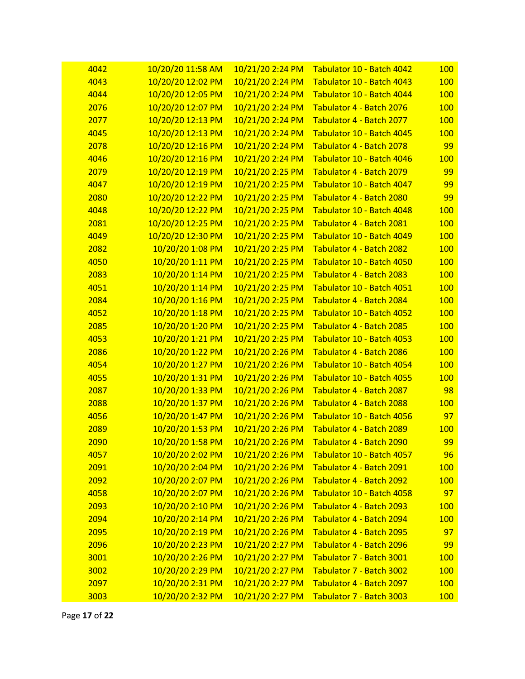| 4042 | 10/20/20 11:58 AM | 10/21/20 2:24 PM | Tabulator 10 - Batch 4042 | <b>100</b> |
|------|-------------------|------------------|---------------------------|------------|
| 4043 | 10/20/20 12:02 PM | 10/21/20 2:24 PM | Tabulator 10 - Batch 4043 | <b>100</b> |
| 4044 | 10/20/20 12:05 PM | 10/21/20 2:24 PM | Tabulator 10 - Batch 4044 | <b>100</b> |
| 2076 | 10/20/20 12:07 PM | 10/21/20 2:24 PM | Tabulator 4 - Batch 2076  | <b>100</b> |
| 2077 | 10/20/20 12:13 PM | 10/21/20 2:24 PM | Tabulator 4 - Batch 2077  | <b>100</b> |
| 4045 | 10/20/20 12:13 PM | 10/21/20 2:24 PM | Tabulator 10 - Batch 4045 | <b>100</b> |
| 2078 | 10/20/20 12:16 PM | 10/21/20 2:24 PM | Tabulator 4 - Batch 2078  | 99         |
| 4046 | 10/20/20 12:16 PM | 10/21/20 2:24 PM | Tabulator 10 - Batch 4046 | <b>100</b> |
| 2079 | 10/20/20 12:19 PM | 10/21/20 2:25 PM | Tabulator 4 - Batch 2079  | 99         |
| 4047 | 10/20/20 12:19 PM | 10/21/20 2:25 PM | Tabulator 10 - Batch 4047 | 99         |
| 2080 | 10/20/20 12:22 PM | 10/21/20 2:25 PM | Tabulator 4 - Batch 2080  | 99         |
| 4048 | 10/20/20 12:22 PM | 10/21/20 2:25 PM | Tabulator 10 - Batch 4048 | <b>100</b> |
| 2081 | 10/20/20 12:25 PM | 10/21/20 2:25 PM | Tabulator 4 - Batch 2081  | <b>100</b> |
| 4049 | 10/20/20 12:30 PM | 10/21/20 2:25 PM | Tabulator 10 - Batch 4049 | <b>100</b> |
| 2082 | 10/20/20 1:08 PM  | 10/21/20 2:25 PM | Tabulator 4 - Batch 2082  | <b>100</b> |
| 4050 | 10/20/20 1:11 PM  | 10/21/20 2:25 PM | Tabulator 10 - Batch 4050 | 100        |
| 2083 | 10/20/20 1:14 PM  | 10/21/20 2:25 PM | Tabulator 4 - Batch 2083  | <b>100</b> |
| 4051 | 10/20/20 1:14 PM  | 10/21/20 2:25 PM | Tabulator 10 - Batch 4051 | <b>100</b> |
| 2084 | 10/20/20 1:16 PM  | 10/21/20 2:25 PM | Tabulator 4 - Batch 2084  | <b>100</b> |
| 4052 | 10/20/20 1:18 PM  | 10/21/20 2:25 PM | Tabulator 10 - Batch 4052 | 100        |
| 2085 | 10/20/20 1:20 PM  | 10/21/20 2:25 PM | Tabulator 4 - Batch 2085  | <b>100</b> |
| 4053 | 10/20/20 1:21 PM  | 10/21/20 2:25 PM | Tabulator 10 - Batch 4053 | <b>100</b> |
| 2086 | 10/20/20 1:22 PM  | 10/21/20 2:26 PM | Tabulator 4 - Batch 2086  | <b>100</b> |
| 4054 | 10/20/20 1:27 PM  | 10/21/20 2:26 PM | Tabulator 10 - Batch 4054 | 100        |
| 4055 | 10/20/20 1:31 PM  | 10/21/20 2:26 PM | Tabulator 10 - Batch 4055 | <b>100</b> |
| 2087 | 10/20/20 1:33 PM  | 10/21/20 2:26 PM | Tabulator 4 - Batch 2087  | 98         |
| 2088 | 10/20/20 1:37 PM  | 10/21/20 2:26 PM | Tabulator 4 - Batch 2088  | <b>100</b> |
| 4056 | 10/20/20 1:47 PM  | 10/21/20 2:26 PM | Tabulator 10 - Batch 4056 | 97         |
| 2089 | 10/20/20 1:53 PM  | 10/21/20 2:26 PM | Tabulator 4 - Batch 2089  | <b>100</b> |
| 2090 | 10/20/20 1:58 PM  | 10/21/20 2:26 PM | Tabulator 4 - Batch 2090  | 99         |
| 4057 | 10/20/20 2:02 PM  | 10/21/20 2:26 PM | Tabulator 10 - Batch 4057 | 96         |
| 2091 | 10/20/20 2:04 PM  | 10/21/20 2:26 PM | Tabulator 4 - Batch 2091  | <b>100</b> |
| 2092 | 10/20/20 2:07 PM  | 10/21/20 2:26 PM | Tabulator 4 - Batch 2092  | <b>100</b> |
| 4058 | 10/20/20 2:07 PM  | 10/21/20 2:26 PM | Tabulator 10 - Batch 4058 | 97         |
| 2093 | 10/20/20 2:10 PM  | 10/21/20 2:26 PM | Tabulator 4 - Batch 2093  | <b>100</b> |
| 2094 | 10/20/20 2:14 PM  | 10/21/20 2:26 PM | Tabulator 4 - Batch 2094  | <b>100</b> |
| 2095 | 10/20/20 2:19 PM  | 10/21/20 2:26 PM | Tabulator 4 - Batch 2095  | 97         |
| 2096 | 10/20/20 2:23 PM  | 10/21/20 2:27 PM | Tabulator 4 - Batch 2096  | 99         |
| 3001 | 10/20/20 2:26 PM  | 10/21/20 2:27 PM | Tabulator 7 - Batch 3001  | <b>100</b> |
| 3002 | 10/20/20 2:29 PM  | 10/21/20 2:27 PM | Tabulator 7 - Batch 3002  | <b>100</b> |
| 2097 | 10/20/20 2:31 PM  | 10/21/20 2:27 PM | Tabulator 4 - Batch 2097  | <b>100</b> |
| 3003 | 10/20/20 2:32 PM  | 10/21/20 2:27 PM | Tabulator 7 - Batch 3003  | <b>100</b> |

Page **17** of **22**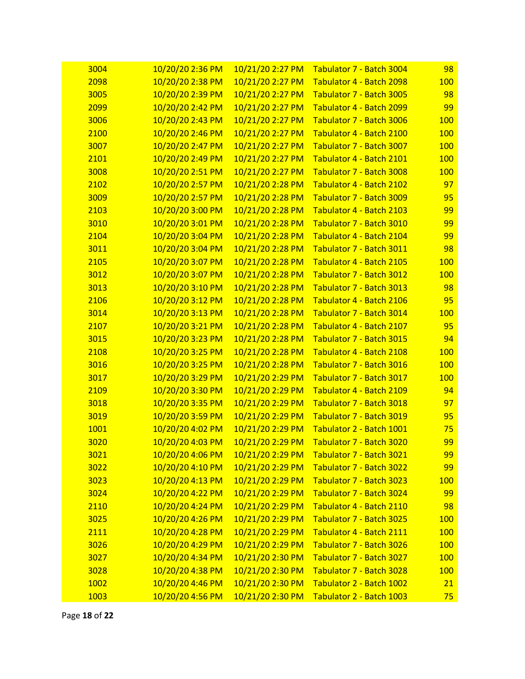| 3004 | 10/20/20 2:36 PM | 10/21/20 2:27 PM | <b>Tabulator 7 - Batch 3004</b> | 98         |
|------|------------------|------------------|---------------------------------|------------|
| 2098 | 10/20/20 2:38 PM | 10/21/20 2:27 PM | Tabulator 4 - Batch 2098        | <b>100</b> |
| 3005 | 10/20/20 2:39 PM | 10/21/20 2:27 PM | Tabulator 7 - Batch 3005        | 98         |
| 2099 | 10/20/20 2:42 PM | 10/21/20 2:27 PM | Tabulator 4 - Batch 2099        | 99         |
| 3006 | 10/20/20 2:43 PM | 10/21/20 2:27 PM | Tabulator 7 - Batch 3006        | 100        |
| 2100 | 10/20/20 2:46 PM | 10/21/20 2:27 PM | Tabulator 4 - Batch 2100        | <b>100</b> |
| 3007 | 10/20/20 2:47 PM | 10/21/20 2:27 PM | Tabulator 7 - Batch 3007        | <b>100</b> |
| 2101 | 10/20/20 2:49 PM | 10/21/20 2:27 PM | Tabulator 4 - Batch 2101        | <b>100</b> |
| 3008 | 10/20/20 2:51 PM | 10/21/20 2:27 PM | Tabulator 7 - Batch 3008        | <b>100</b> |
| 2102 | 10/20/20 2:57 PM | 10/21/20 2:28 PM | Tabulator 4 - Batch 2102        | 97         |
| 3009 | 10/20/20 2:57 PM | 10/21/20 2:28 PM | Tabulator 7 - Batch 3009        | 95         |
| 2103 | 10/20/20 3:00 PM | 10/21/20 2:28 PM | Tabulator 4 - Batch 2103        | 99         |
| 3010 | 10/20/20 3:01 PM | 10/21/20 2:28 PM | Tabulator 7 - Batch 3010        | 99         |
| 2104 | 10/20/20 3:04 PM | 10/21/20 2:28 PM | Tabulator 4 - Batch 2104        | 99         |
| 3011 | 10/20/20 3:04 PM | 10/21/20 2:28 PM | Tabulator 7 - Batch 3011        | 98         |
| 2105 | 10/20/20 3:07 PM | 10/21/20 2:28 PM | Tabulator 4 - Batch 2105        | <b>100</b> |
| 3012 | 10/20/20 3:07 PM | 10/21/20 2:28 PM | Tabulator 7 - Batch 3012        | <b>100</b> |
| 3013 | 10/20/20 3:10 PM | 10/21/20 2:28 PM | Tabulator 7 - Batch 3013        | 98         |
| 2106 | 10/20/20 3:12 PM | 10/21/20 2:28 PM | Tabulator 4 - Batch 2106        | 95         |
| 3014 | 10/20/20 3:13 PM | 10/21/20 2:28 PM | Tabulator 7 - Batch 3014        | <b>100</b> |
| 2107 | 10/20/20 3:21 PM | 10/21/20 2:28 PM | Tabulator 4 - Batch 2107        | 95         |
| 3015 | 10/20/20 3:23 PM | 10/21/20 2:28 PM | Tabulator 7 - Batch 3015        | 94         |
| 2108 | 10/20/20 3:25 PM | 10/21/20 2:28 PM | Tabulator 4 - Batch 2108        | <b>100</b> |
| 3016 | 10/20/20 3:25 PM | 10/21/20 2:28 PM | Tabulator 7 - Batch 3016        | <b>100</b> |
| 3017 | 10/20/20 3:29 PM | 10/21/20 2:29 PM | Tabulator 7 - Batch 3017        | <b>100</b> |
| 2109 | 10/20/20 3:30 PM | 10/21/20 2:29 PM | Tabulator 4 - Batch 2109        | 94         |
| 3018 | 10/20/20 3:35 PM | 10/21/20 2:29 PM | Tabulator 7 - Batch 3018        | 97         |
| 3019 | 10/20/20 3:59 PM | 10/21/20 2:29 PM | Tabulator 7 - Batch 3019        | 95         |
| 1001 | 10/20/20 4:02 PM | 10/21/20 2:29 PM | Tabulator 2 - Batch 1001        | 75         |
| 3020 | 10/20/20 4:03 PM | 10/21/20 2:29 PM | Tabulator 7 - Batch 3020        | 99         |
| 3021 | 10/20/20 4:06 PM | 10/21/20 2:29 PM | Tabulator 7 - Batch 3021        | 99         |
| 3022 | 10/20/20 4:10 PM | 10/21/20 2:29 PM | Tabulator 7 - Batch 3022        | 99         |
| 3023 | 10/20/20 4:13 PM | 10/21/20 2:29 PM | Tabulator 7 - Batch 3023        | <b>100</b> |
| 3024 | 10/20/20 4:22 PM | 10/21/20 2:29 PM | Tabulator 7 - Batch 3024        | 99         |
| 2110 | 10/20/20 4:24 PM | 10/21/20 2:29 PM | Tabulator 4 - Batch 2110        | 98         |
| 3025 | 10/20/20 4:26 PM | 10/21/20 2:29 PM | Tabulator 7 - Batch 3025        | <b>100</b> |
| 2111 | 10/20/20 4:28 PM | 10/21/20 2:29 PM | Tabulator 4 - Batch 2111        | <b>100</b> |
| 3026 | 10/20/20 4:29 PM | 10/21/20 2:29 PM | Tabulator 7 - Batch 3026        | <b>100</b> |
| 3027 | 10/20/20 4:34 PM | 10/21/20 2:30 PM | Tabulator 7 - Batch 3027        | <b>100</b> |
| 3028 | 10/20/20 4:38 PM | 10/21/20 2:30 PM | Tabulator 7 - Batch 3028        | <b>100</b> |
| 1002 | 10/20/20 4:46 PM | 10/21/20 2:30 PM | Tabulator 2 - Batch 1002        | 21         |
| 1003 | 10/20/20 4:56 PM | 10/21/20 2:30 PM | Tabulator 2 - Batch 1003        | 75         |

Page **18** of **22**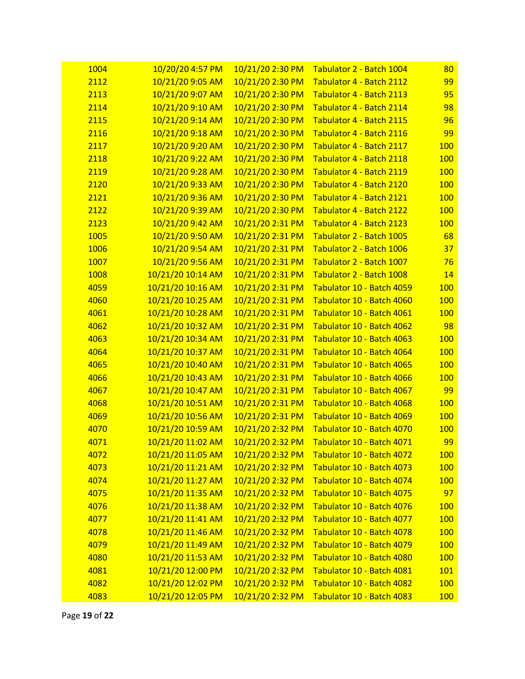| 1004 | 10/20/20 4:57 PM  | 10/21/20 2:30 PM | <b>Tabulator 2 - Batch 1004</b> | 80         |
|------|-------------------|------------------|---------------------------------|------------|
| 2112 | 10/21/20 9:05 AM  | 10/21/20 2:30 PM | Tabulator 4 - Batch 2112        | 99         |
| 2113 | 10/21/20 9:07 AM  | 10/21/20 2:30 PM | Tabulator 4 - Batch 2113        | 95         |
| 2114 | 10/21/20 9:10 AM  | 10/21/20 2:30 PM | Tabulator 4 - Batch 2114        | 98         |
| 2115 | 10/21/20 9:14 AM  | 10/21/20 2:30 PM | Tabulator 4 - Batch 2115        | 96         |
| 2116 | 10/21/20 9:18 AM  | 10/21/20 2:30 PM | Tabulator 4 - Batch 2116        | 99         |
| 2117 | 10/21/20 9:20 AM  | 10/21/20 2:30 PM | Tabulator 4 - Batch 2117        | <b>100</b> |
| 2118 | 10/21/20 9:22 AM  | 10/21/20 2:30 PM | Tabulator 4 - Batch 2118        | <b>100</b> |
| 2119 | 10/21/20 9:28 AM  | 10/21/20 2:30 PM | Tabulator 4 - Batch 2119        | <b>100</b> |
| 2120 | 10/21/20 9:33 AM  | 10/21/20 2:30 PM | Tabulator 4 - Batch 2120        | <b>100</b> |
| 2121 | 10/21/20 9:36 AM  | 10/21/20 2:30 PM | Tabulator 4 - Batch 2121        | <b>100</b> |
| 2122 | 10/21/20 9:39 AM  | 10/21/20 2:30 PM | Tabulator 4 - Batch 2122        | <b>100</b> |
| 2123 | 10/21/20 9:42 AM  | 10/21/20 2:31 PM | Tabulator 4 - Batch 2123        | <b>100</b> |
| 1005 | 10/21/20 9:50 AM  | 10/21/20 2:31 PM | Tabulator 2 - Batch 1005        | 68         |
| 1006 | 10/21/20 9:54 AM  | 10/21/20 2:31 PM | Tabulator 2 - Batch 1006        | 37         |
| 1007 | 10/21/20 9:56 AM  | 10/21/20 2:31 PM | Tabulator 2 - Batch 1007        | 76         |
| 1008 | 10/21/20 10:14 AM | 10/21/20 2:31 PM | Tabulator 2 - Batch 1008        | 14         |
| 4059 | 10/21/20 10:16 AM | 10/21/20 2:31 PM | Tabulator 10 - Batch 4059       | <b>100</b> |
| 4060 | 10/21/20 10:25 AM | 10/21/20 2:31 PM | Tabulator 10 - Batch 4060       | <b>100</b> |
| 4061 | 10/21/20 10:28 AM | 10/21/20 2:31 PM | Tabulator 10 - Batch 4061       | <b>100</b> |
| 4062 | 10/21/20 10:32 AM | 10/21/20 2:31 PM | Tabulator 10 - Batch 4062       | 98         |
| 4063 | 10/21/20 10:34 AM | 10/21/20 2:31 PM | Tabulator 10 - Batch 4063       | <b>100</b> |
| 4064 | 10/21/20 10:37 AM | 10/21/20 2:31 PM | Tabulator 10 - Batch 4064       | <b>100</b> |
| 4065 | 10/21/20 10:40 AM | 10/21/20 2:31 PM | Tabulator 10 - Batch 4065       | <b>100</b> |
| 4066 | 10/21/20 10:43 AM | 10/21/20 2:31 PM | Tabulator 10 - Batch 4066       | <b>100</b> |
| 4067 | 10/21/20 10:47 AM | 10/21/20 2:31 PM | Tabulator 10 - Batch 4067       | 99         |
| 4068 | 10/21/20 10:51 AM | 10/21/20 2:31 PM | Tabulator 10 - Batch 4068       | <b>100</b> |
| 4069 | 10/21/20 10:56 AM | 10/21/20 2:31 PM | Tabulator 10 - Batch 4069       | <b>100</b> |
| 4070 | 10/21/20 10:59 AM | 10/21/20 2:32 PM | Tabulator 10 - Batch 4070       | <b>100</b> |
| 4071 | 10/21/20 11:02 AM | 10/21/20 2:32 PM | Tabulator 10 - Batch 4071       | 99         |
| 4072 | 10/21/20 11:05 AM | 10/21/20 2:32 PM | Tabulator 10 - Batch 4072       | <b>100</b> |
| 4073 | 10/21/20 11:21 AM | 10/21/20 2:32 PM | Tabulator 10 - Batch 4073       | <b>100</b> |
| 4074 | 10/21/20 11:27 AM | 10/21/20 2:32 PM | Tabulator 10 - Batch 4074       | <b>100</b> |
| 4075 | 10/21/20 11:35 AM | 10/21/20 2:32 PM | Tabulator 10 - Batch 4075       | 97         |
| 4076 | 10/21/20 11:38 AM | 10/21/20 2:32 PM | Tabulator 10 - Batch 4076       | <b>100</b> |
| 4077 | 10/21/20 11:41 AM | 10/21/20 2:32 PM | Tabulator 10 - Batch 4077       | <b>100</b> |
| 4078 | 10/21/20 11:46 AM | 10/21/20 2:32 PM | Tabulator 10 - Batch 4078       | <b>100</b> |
| 4079 | 10/21/20 11:49 AM | 10/21/20 2:32 PM | Tabulator 10 - Batch 4079       | <b>100</b> |
| 4080 | 10/21/20 11:53 AM | 10/21/20 2:32 PM | Tabulator 10 - Batch 4080       | <b>100</b> |
| 4081 | 10/21/20 12:00 PM | 10/21/20 2:32 PM | Tabulator 10 - Batch 4081       | <u>101</u> |
| 4082 | 10/21/20 12:02 PM | 10/21/20 2:32 PM | Tabulator 10 - Batch 4082       | <b>100</b> |
| 4083 | 10/21/20 12:05 PM | 10/21/20 2:32 PM | Tabulator 10 - Batch 4083       | <b>100</b> |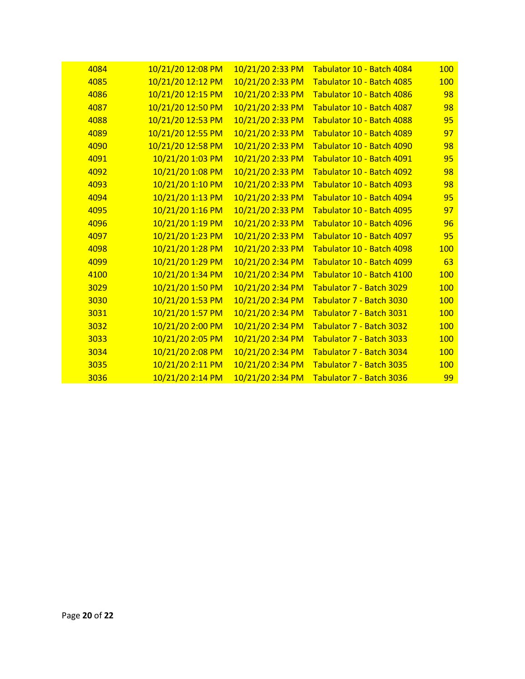| 4084 | 10/21/20 12:08 PM | 10/21/20 2:33 PM | Tabulator 10 - Batch 4084 | 100        |
|------|-------------------|------------------|---------------------------|------------|
| 4085 | 10/21/20 12:12 PM | 10/21/20 2:33 PM | Tabulator 10 - Batch 4085 | 100        |
| 4086 | 10/21/20 12:15 PM | 10/21/20 2:33 PM | Tabulator 10 - Batch 4086 | 98         |
| 4087 | 10/21/20 12:50 PM | 10/21/20 2:33 PM | Tabulator 10 - Batch 4087 | 98         |
| 4088 | 10/21/20 12:53 PM | 10/21/20 2:33 PM | Tabulator 10 - Batch 4088 | 95         |
| 4089 | 10/21/20 12:55 PM | 10/21/20 2:33 PM | Tabulator 10 - Batch 4089 | 97         |
| 4090 | 10/21/20 12:58 PM | 10/21/20 2:33 PM | Tabulator 10 - Batch 4090 | 98         |
| 4091 | 10/21/20 1:03 PM  | 10/21/20 2:33 PM | Tabulator 10 - Batch 4091 | 95         |
| 4092 | 10/21/20 1:08 PM  | 10/21/20 2:33 PM | Tabulator 10 - Batch 4092 | 98         |
| 4093 | 10/21/20 1:10 PM  | 10/21/20 2:33 PM | Tabulator 10 - Batch 4093 | 98         |
| 4094 | 10/21/20 1:13 PM  | 10/21/20 2:33 PM | Tabulator 10 - Batch 4094 | 95         |
| 4095 | 10/21/20 1:16 PM  | 10/21/20 2:33 PM | Tabulator 10 - Batch 4095 | 97         |
| 4096 | 10/21/20 1:19 PM  | 10/21/20 2:33 PM | Tabulator 10 - Batch 4096 | 96         |
| 4097 | 10/21/20 1:23 PM  | 10/21/20 2:33 PM | Tabulator 10 - Batch 4097 | 95         |
| 4098 | 10/21/20 1:28 PM  | 10/21/20 2:33 PM | Tabulator 10 - Batch 4098 | 100        |
| 4099 | 10/21/20 1:29 PM  | 10/21/20 2:34 PM | Tabulator 10 - Batch 4099 | 63         |
| 4100 | 10/21/20 1:34 PM  | 10/21/20 2:34 PM | Tabulator 10 - Batch 4100 | 100        |
| 3029 | 10/21/20 1:50 PM  | 10/21/20 2:34 PM | Tabulator 7 - Batch 3029  | 100        |
| 3030 | 10/21/20 1:53 PM  | 10/21/20 2:34 PM | Tabulator 7 - Batch 3030  | 100        |
| 3031 | 10/21/20 1:57 PM  | 10/21/20 2:34 PM | Tabulator 7 - Batch 3031  | 100        |
| 3032 | 10/21/20 2:00 PM  | 10/21/20 2:34 PM | Tabulator 7 - Batch 3032  | 100        |
| 3033 | 10/21/20 2:05 PM  | 10/21/20 2:34 PM | Tabulator 7 - Batch 3033  | 100        |
| 3034 | 10/21/20 2:08 PM  | 10/21/20 2:34 PM | Tabulator 7 - Batch 3034  | <b>100</b> |
| 3035 | 10/21/20 2:11 PM  | 10/21/20 2:34 PM | Tabulator 7 - Batch 3035  | <b>100</b> |
| 3036 | 10/21/20 2:14 PM  | 10/21/20 2:34 PM | Tabulator 7 - Batch 3036  | 99         |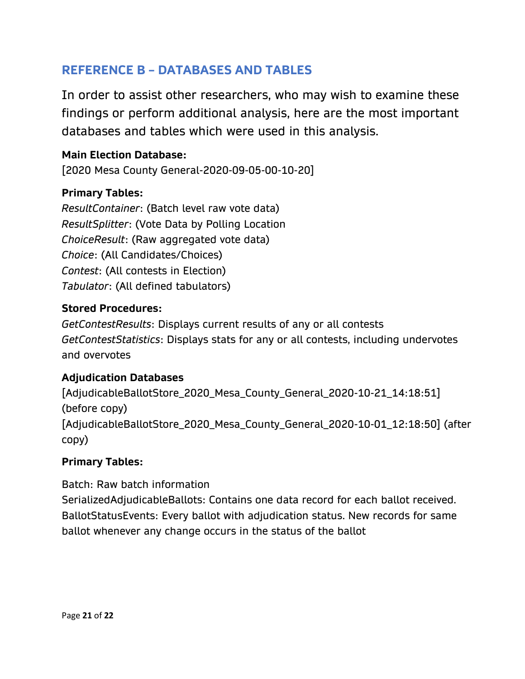#### **REFERENCE B – DATABASES AND TABLES**

In order to assist other researchers, who may wish to examine these findings or perform additional analysis, here are the most important databases and tables which were used in this analysis.

#### **Main Election Database:**

[2020 Mesa County General-2020-09-05-00-10-20]

#### **Primary Tables:**

*ResultContainer*: (Batch level raw vote data) *ResultSplitter*: (Vote Data by Polling Location *ChoiceResult*: (Raw aggregated vote data) *Choice*: (All Candidates/Choices) *Contest*: (All contests in Election) *Tabulator*: (All defined tabulators)

#### **Stored Procedures:**

*GetContestResults*: Displays current results of any or all contests *GetContestStatistics*: Displays stats for any or all contests, including undervotes and overvotes

#### **Adjudication Databases**

[AdjudicableBallotStore\_2020\_Mesa\_County\_General\_2020-10-21\_14:18:51] (before copy) [AdjudicableBallotStore\_2020\_Mesa\_County\_General\_2020-10-01\_12:18:50] (after copy)

#### **Primary Tables:**

Batch: Raw batch information SerializedAdjudicableBallots: Contains one data record for each ballot received. BallotStatusEvents: Every ballot with adjudication status. New records for same

ballot whenever any change occurs in the status of the ballot